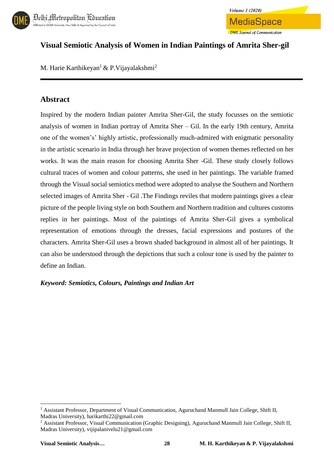



# **Visual Semiotic Analysis of Women in Indian Paintings of Amrita Sher-gil**

M. Harie Karthikeyan<sup>1</sup> & P. Vijayalakshmi<sup>2</sup>

# **Abstract**

Inspired by the modern Indian painter Amrita Sher-Gil, the study focusses on the semiotic analysis of women in Indian portray of Amrita Sher – Gil. In the early 19th century, Amrita one of the women's' highly artistic, professionally much-admired with enigmatic personality in the artistic scenario in India through her brave projection of women themes reflected on her works. It was the main reason for choosing Amrita Sher -Gil. These study closely follows cultural traces of women and colour patterns, she used in her paintings. The variable framed through the Visual social semiotics method were adopted to analyse the Southern and Northern selected images of Amrita Sher - Gil .The Findings reviles that modern paintings gives a clear picture of the people living style on both Southern and Northern tradition and cultures customs replies in her paintings. Most of the paintings of Amrita Sher-Gil gives a symbolical representation of emotions through the dresses, facial expressions and postures of the characters. Amrita Sher-Gil uses a brown shaded background in almost all of her paintings. It can also be understood through the depictions that such a colour tone is used by the painter to define an Indian.

### *Keyword: Semiotics, Colours, Paintings and Indian Art*

**.** 

<sup>1</sup> Assistant Professor, Department of Visual Communication, Aguruchand Manmull Jain College, Shift II, Madras University), harikarthi22@gmail.com

<sup>&</sup>lt;sup>2</sup> Assistant Professor, Visual Communication (Graphic Designing), Aguruchand Manmull Jain College, Shift II, Madras University), vijipalanivelu21@gmail.com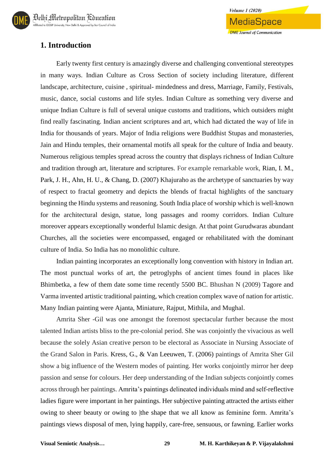

### **1. Introduction**

Early twenty first century is amazingly diverse and challenging conventional stereotypes in many ways. Indian Culture as Cross Section of society including literature, different landscape, architecture, cuisine , spiritual- mindedness and dress, Marriage, Family, Festivals, music, dance, social customs and life styles. Indian Culture as something very diverse and unique Indian Culture is full of several unique customs and traditions, which outsiders might find really fascinating. Indian ancient scriptures and art, which had dictated the way of life in India for thousands of years. Major of India religions were Buddhist Stupas and monasteries, Jain and Hindu temples, their ornamental motifs all speak for the culture of India and beauty. Numerous religious temples spread across the country that displays richness of Indian Culture and tradition through art, literature and scriptures. For example remarkable work, Rian, I. M., Park, J. H., Ahn, H. U., & Chang, D. (2007) Khajuraho as the archetype of sanctuaries by way of respect to fractal geometry and depicts the blends of fractal highlights of the sanctuary beginning the Hindu systems and reasoning. South India place of worship which is well-known for the architectural design, statue, long passages and roomy corridors. Indian Culture moreover appears exceptionally wonderful Islamic design. At that point Gurudwaras abundant Churches, all the societies were encompassed, engaged or rehabilitated with the dominant culture of India. So India has no monolithic culture.

Indian painting incorporates an exceptionally long convention with history in Indian art. The most punctual works of art, the petroglyphs of ancient times found in places like Bhimbetka, a few of them date some time recently 5500 BC. Bhushan N (2009) Tagore and Varma invented artistic traditional painting, which creation complex wave of nation for artistic. Many Indian painting were Ajanta, Miniature, Rajput, Mithila, and Mughal.

Amrita Sher -Gil was one amongst the foremost spectacular further because the most talented Indian artists bliss to the pre-colonial period. She was conjointly the vivacious as well because the solely Asian creative person to be electoral as Associate in Nursing Associate of the Grand Salon in Paris. Kress, G., & Van Leeuwen, T. (2006) paintings of Amrita Sher Gil show a big influence of the Western modes of painting. Her works conjointly mirror her deep passion and sense for colours. Her deep understanding of the Indian subjects conjointly comes across through her paintings. Amrita's paintings delineated individuals mind and self-reflective ladies figure were important in her paintings. Her subjective painting attracted the artists either owing to sheer beauty or owing to |the shape that we all know as feminine form. Amrita's paintings views disposal of men, lying happily, care-free, sensuous, or fawning. Earlier works

**Volume 1 (2020)** 

MediaSpace

**DME** Journal of Communication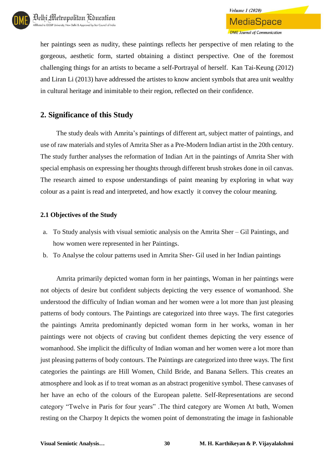her paintings seen as nudity, these paintings reflects her perspective of men relating to the gorgeous, aesthetic form, started obtaining a distinct perspective. One of the foremost challenging things for an artists to became a self-Portrayal of herself. Kan Tai-Keung (2012) and Liran Li (2013) have addressed the artistes to know ancient symbols that area unit wealthy in cultural heritage and inimitable to their region, reflected on their confidence.

## **2. Significance of this Study**

The study deals with Amrita's paintings of different art, subject matter of paintings, and use of raw materials and styles of Amrita Sher as a Pre-Modern Indian artist in the 20th century. The study further analyses the reformation of Indian Art in the paintings of Amrita Sher with special emphasis on expressing her thoughts through different brush strokes done in oil canvas. The research aimed to expose understandings of paint meaning by exploring in what way colour as a paint is read and interpreted, and how exactly it convey the colour meaning.

### **2.1 Objectives of the Study**

- a. To Study analysis with visual semiotic analysis on the Amrita Sher Gil Paintings, and how women were represented in her Paintings.
- b. To Analyse the colour patterns used in Amrita Sher- Gil used in her Indian paintings

Amrita primarily depicted woman form in her paintings, Woman in her paintings were not objects of desire but confident subjects depicting the very essence of womanhood. She understood the difficulty of Indian woman and her women were a lot more than just pleasing patterns of body contours. The Paintings are categorized into three ways. The first categories the paintings Amrita predominantly depicted woman form in her works, woman in her paintings were not objects of craving but confident themes depicting the very essence of womanhood. She implicit the difficulty of Indian woman and her women were a lot more than just pleasing patterns of body contours. The Paintings are categorized into three ways. The first categories the paintings are Hill Women, Child Bride, and Banana Sellers. This creates an atmosphere and look as if to treat woman as an abstract progenitive symbol. These canvases of her have an echo of the colours of the European palette. Self-Representations are second category "Twelve in Paris for four years" .The third category are Women At bath, Women resting on the Charpoy It depicts the women point of demonstrating the image in fashionable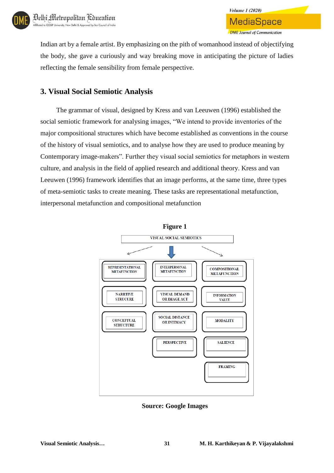

Indian art by a female artist. By emphasizing on the pith of womanhood instead of objectifying the body, she gave a curiously and way breaking move in anticipating the picture of ladies reflecting the female sensibility from female perspective.

## **3. Visual Social Semiotic Analysis**

The grammar of visual, designed by Kress and van Leeuwen (1996) established the social semiotic framework for analysing images, "We intend to provide inventories of the major compositional structures which have become established as conventions in the course of the history of visual semiotics, and to analyse how they are used to produce meaning by Contemporary image-makers". Further they visual social semiotics for metaphors in western culture, and analysis in the field of applied research and additional theory. Kress and van Leeuwen (1996) framework identifies that an image performs, at the same time, three types of meta-semiotic tasks to create meaning. These tasks are representational metafunction, interpersonal metafunction and compositional metafunction



**Source: Google Images**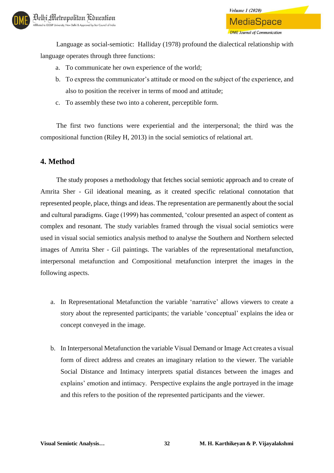Language as social-semiotic: Halliday (1978) profound the dialectical relationship with language operates through three functions:

- a. To communicate her own experience of the world;
- b. To express the communicator's attitude or mood on the subject of the experience, and also to position the receiver in terms of mood and attitude;

**Volume 1 (2020)** 

MediaSpace

**DME** Journal of Communication

c. To assembly these two into a coherent, perceptible form.

The first two functions were experiential and the interpersonal; the third was the compositional function (Riley H, 2013) in the social semiotics of relational art.

## **4. Method**

The study proposes a methodology that fetches social semiotic approach and to create of Amrita Sher - Gil ideational meaning, as it created specific relational connotation that represented people, place, things and ideas. The representation are permanently about the social and cultural paradigms. Gage (1999) has commented, 'colour presented an aspect of content as complex and resonant. The study variables framed through the visual social semiotics were used in visual social semiotics analysis method to analyse the Southern and Northern selected images of Amrita Sher - Gil paintings. The variables of the representational metafunction, interpersonal metafunction and Compositional metafunction interpret the images in the following aspects.

- a. In Representational Metafunction the variable 'narrative' allows viewers to create a story about the represented participants; the variable 'conceptual' explains the idea or concept conveyed in the image.
- b. In Interpersonal Metafunction the variable Visual Demand or Image Act creates a visual form of direct address and creates an imaginary relation to the viewer. The variable Social Distance and Intimacy interprets spatial distances between the images and explains' emotion and intimacy. Perspective explains the angle portrayed in the image and this refers to the position of the represented participants and the viewer.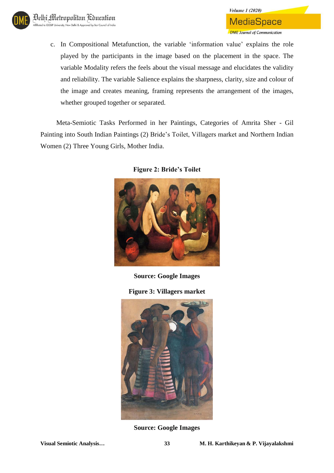

c. In Compositional Metafunction, the variable 'information value' explains the role played by the participants in the image based on the placement in the space. The variable Modality refers the feels about the visual message and elucidates the validity and reliability. The variable Salience explains the sharpness, clarity, size and colour of the image and creates meaning, framing represents the arrangement of the images, whether grouped together or separated.

Meta-Semiotic Tasks Performed in her Paintings, Categories of Amrita Sher - Gil Painting into South Indian Paintings (2) Bride's Toilet, Villagers market and Northern Indian Women (2) Three Young Girls, Mother India.



**Figure 2: Bride's Toilet**

**Source: Google Images**

**Figure 3: Villagers market**



**Source: Google Images**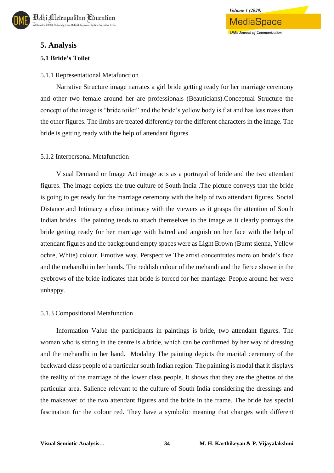

## **5. Analysis**

### **5.1 Bride's Toilet**

### 5.1.1 Representational Metafunction

Narrative Structure image narrates a girl bride getting ready for her marriage ceremony and other two female around her are professionals (Beauticians).Conceptual Structure the concept of the image is "bride toilet" and the bride's yellow body is flat and has less mass than the other figures. The limbs are treated differently for the different characters in the image. The bride is getting ready with the help of attendant figures.

### 5.1.2 Interpersonal Metafunction

Visual Demand or Image Act image acts as a portrayal of bride and the two attendant figures. The image depicts the true culture of South India .The picture conveys that the bride is going to get ready for the marriage ceremony with the help of two attendant figures. Social Distance and Intimacy a close intimacy with the viewers as it grasps the attention of South Indian brides. The painting tends to attach themselves to the image as it clearly portrays the bride getting ready for her marriage with hatred and anguish on her face with the help of attendant figures and the background empty spaces were as Light Brown (Burnt sienna, Yellow ochre, White) colour. Emotive way. Perspective The artist concentrates more on bride's face and the mehandhi in her hands. The reddish colour of the mehandi and the fierce shown in the eyebrows of the bride indicates that bride is forced for her marriage. People around her were unhappy.

#### 5.1.3 Compositional Metafunction

Information Value the participants in paintings is bride, two attendant figures. The woman who is sitting in the centre is a bride, which can be confirmed by her way of dressing and the mehandhi in her hand. Modality The painting depicts the marital ceremony of the backward class people of a particular south Indian region. The painting is modal that it displays the reality of the marriage of the lower class people. It shows that they are the ghettos of the particular area. Salience relevant to the culture of South India considering the dressings and the makeover of the two attendant figures and the bride in the frame. The bride has special fascination for the colour red. They have a symbolic meaning that changes with different

**Volume 1 (2020)** 

MediaSpace

**DME Journal of Communication**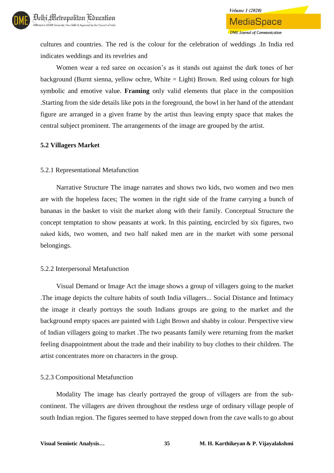cultures and countries. The red is the colour for the celebration of weddings .In India red indicates weddings and its revelries and

Women wear a red saree on occasion's as it stands out against the dark tones of her background (Burnt sienna, yellow ochre, White = Light) Brown. Red using colours for high symbolic and emotive value. **Framing** only valid elements that place in the composition .Starting from the side details like pots in the foreground, the bowl in her hand of the attendant figure are arranged in a given frame by the artist thus leaving empty space that makes the central subject prominent. The arrangements of the image are grouped by the artist.

### **5.2 Villagers Market**

### 5.2.1 Representational Metafunction

Narrative Structure The image narrates and shows two kids, two women and two men are with the hopeless faces; The women in the right side of the frame carrying a bunch of bananas in the basket to visit the market along with their family. Conceptual Structure the concept temptation to show peasants at work. In this painting, encircled by six figures, two naked kids, two women, and two half naked men are in the market with some personal belongings.

### 5.2.2 Interpersonal Metafunction

Visual Demand or Image Act the image shows a group of villagers going to the market .The image depicts the culture habits of south India villagers... Social Distance and Intimacy the image it clearly portrays the south Indians groups are going to the market and the background empty spaces are painted with Light Brown and shabby in colour. Perspective view of Indian villagers going to market .The two peasants family were returning from the market feeling disappointment about the trade and their inability to buy clothes to their children. The artist concentrates more on characters in the group.

### 5.2.3 Compositional Metafunction

Modality The image has clearly portrayed the group of villagers are from the subcontinent. The villagers are driven throughout the restless urge of ordinary village people of south Indian region. The figures seemed to have stepped down from the cave walls to go about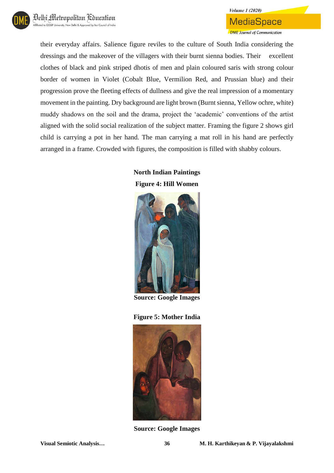

### **MediaSpace DME** Journal of Communication

**Volume 1 (2020)** 

their everyday affairs. Salience figure reviles to the culture of South India considering the dressings and the makeover of the villagers with their burnt sienna bodies. Their excellent clothes of black and pink striped dhotis of men and plain coloured saris with strong colour border of women in Violet (Cobalt Blue, Vermilion Red, and Prussian blue) and their progression prove the fleeting effects of dullness and give the real impression of a momentary movement in the painting. Dry background are light brown (Burnt sienna, Yellow ochre, white) muddy shadows on the soil and the drama, project the 'academic' conventions of the artist aligned with the solid social realization of the subject matter. Framing the figure 2 shows girl child is carrying a pot in her hand. The man carrying a mat roll in his hand are perfectly arranged in a frame. Crowded with figures, the composition is filled with shabby colours.

## **North Indian Paintings Figure 4: Hill Women**



**Source: Google Images**

### **Figure 5: Mother India**



**Source: Google Images**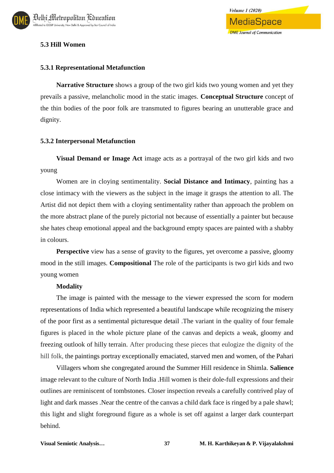

### **5.3 Hill Women**

#### **5.3.1 Representational Metafunction**

**Narrative Structure** shows a group of the two girl kids two young women and yet they prevails a passive, melancholic mood in the static images. **Conceptual Structure** concept of the thin bodies of the poor folk are transmuted to figures bearing an unutterable grace and dignity.

#### **5.3.2 Interpersonal Metafunction**

**Visual Demand or Image Act** image acts as a portrayal of the two girl kids and two young

Women are in cloying sentimentality. **Social Distance and Intimacy**, painting has a close intimacy with the viewers as the subject in the image it grasps the attention to all. The Artist did not depict them with a cloying sentimentality rather than approach the problem on the more abstract plane of the purely pictorial not because of essentially a painter but because she hates cheap emotional appeal and the background empty spaces are painted with a shabby in colours.

**Perspective** view has a sense of gravity to the figures, yet overcome a passive, gloomy mood in the still images. **Compositional** The role of the participants is two girl kids and two young women

#### **Modality**

The image is painted with the message to the viewer expressed the scorn for modern representations of India which represented a beautiful landscape while recognizing the misery of the poor first as a sentimental picturesque detail .The variant in the quality of four female figures is placed in the whole picture plane of the canvas and depicts a weak, gloomy and freezing outlook of hilly terrain. After producing these pieces that eulogize the dignity of the hill folk, the paintings portray exceptionally emaciated, starved men and women, of the Pahari

Villagers whom she congregated around the Summer Hill residence in Shimla. **Salience** image relevant to the culture of North India .Hill women is their dole-full expressions and their outlines are reminiscent of tombstones. Closer inspection reveals a carefully contrived play of light and dark masses. Near the centre of the canvas a child dark face is ringed by a pale shawl; this light and slight foreground figure as a whole is set off against a larger dark counterpart behind.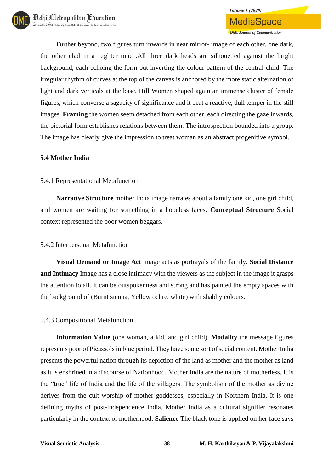Further beyond, two figures turn inwards in near mirror- image of each other, one dark, the other clad in a Lighter tone .All three dark heads are silhouetted against the bright background, each echoing the form but inverting the colour pattern of the central child. The irregular rhythm of curves at the top of the canvas is anchored by the more static alternation of light and dark verticals at the base. Hill Women shaped again an immense cluster of female figures, which converse a sagacity of significance and it beat a reactive, dull temper in the still images. **Framing** the women seem detached from each other, each directing the gaze inwards, the pictorial form establishes relations between them. The introspection bounded into a group. The image has clearly give the impression to treat woman as an abstract progenitive symbol.

### **5.4 Mother India**

### 5.4.1 Representational Metafunction

**Narrative Structure** mother India image narrates about a family one kid, one girl child, and women are waiting for something in a hopeless faces**. Conceptual Structure** Social context represented the poor women beggars.

### 5.4.2 Interpersonal Metafunction

**Visual Demand or Image Act** image acts as portrayals of the family. **Social Distance and Intimacy** Image has a close intimacy with the viewers as the subject in the image it grasps the attention to all. It can be outspokenness and strong and has painted the empty spaces with the background of (Burnt sienna, Yellow ochre, white) with shabby colours.

### 5.4.3 Compositional Metafunction

**Information Value** (one woman, a kid, and girl child). **Modality** the message figures represents poor of Picasso's in blue period. They have some sort of social content. Mother India presents the powerful nation through its depiction of the land as mother and the mother as land as it is enshrined in a discourse of Nationhood. Mother India are the nature of motherless. It is the "true" life of India and the life of the villagers. The symbolism of the mother as divine derives from the cult worship of mother goddesses, especially in Northern India. It is one defining myths of post-independence India. Mother India as a cultural signifier resonates particularly in the context of motherhood. **Salience** The black tone is applied on her face says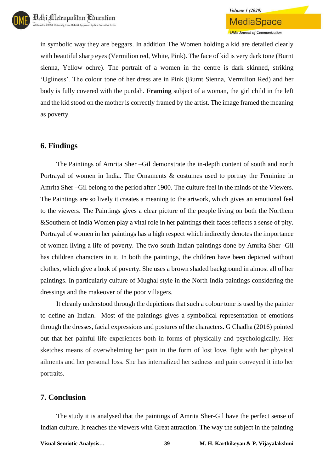in symbolic way they are beggars. In addition The Women holding a kid are detailed clearly with beautiful sharp eyes (Vermilion red, White, Pink). The face of kid is very dark tone (Burnt sienna, Yellow ochre). The portrait of a women in the centre is dark skinned, striking 'Ugliness'. The colour tone of her dress are in Pink (Burnt Sienna, Vermilion Red) and her body is fully covered with the purdah. **Framing** subject of a woman, the girl child in the left and the kid stood on the mother is correctly framed by the artist. The image framed the meaning as poverty.

### **6. Findings**

The Paintings of Amrita Sher –Gil demonstrate the in-depth content of south and north Portrayal of women in India. The Ornaments & costumes used to portray the Feminine in Amrita Sher –Gil belong to the period after 1900. The culture feel in the minds of the Viewers. The Paintings are so lively it creates a meaning to the artwork, which gives an emotional feel to the viewers. The Paintings gives a clear picture of the people living on both the Northern &Southern of India Women play a vital role in her paintings their faces reflects a sense of pity. Portrayal of women in her paintings has a high respect which indirectly denotes the importance of women living a life of poverty. The two south Indian paintings done by Amrita Sher -Gil has children characters in it. In both the paintings, the children have been depicted without clothes, which give a look of poverty. She uses a brown shaded background in almost all of her paintings. In particularly culture of Mughal style in the North India paintings considering the dressings and the makeover of the poor villagers.

It cleanly understood through the depictions that such a colour tone is used by the painter to define an Indian. Most of the paintings gives a symbolical representation of emotions through the dresses, facial expressions and postures of the characters. G Chadha (2016) pointed out that her painful life experiences both in forms of physically and psychologically. Her sketches means of overwhelming her pain in the form of lost love, fight with her physical ailments and her personal loss. She has internalized her sadness and pain conveyed it into her portraits.

## **7. Conclusion**

The study it is analysed that the paintings of Amrita Sher-Gil have the perfect sense of Indian culture. It reaches the viewers with Great attraction. The way the subject in the painting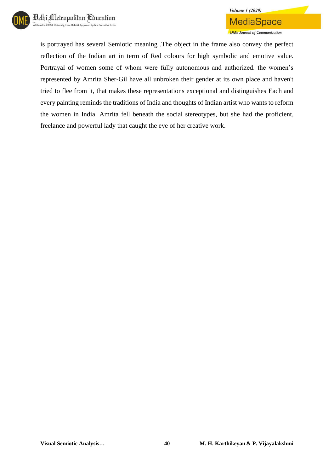

is portrayed has several Semiotic meaning .The object in the frame also convey the perfect reflection of the Indian art in term of Red colours for high symbolic and emotive value. Portrayal of women some of whom were fully autonomous and authorized. the women's represented by Amrita Sher-Gil have all unbroken their gender at its own place and haven't tried to flee from it, that makes these representations exceptional and distinguishes Each and every painting reminds the traditions of India and thoughts of Indian artist who wants to reform the women in India. Amrita fell beneath the social stereotypes, but she had the proficient, freelance and powerful lady that caught the eye of her creative work.